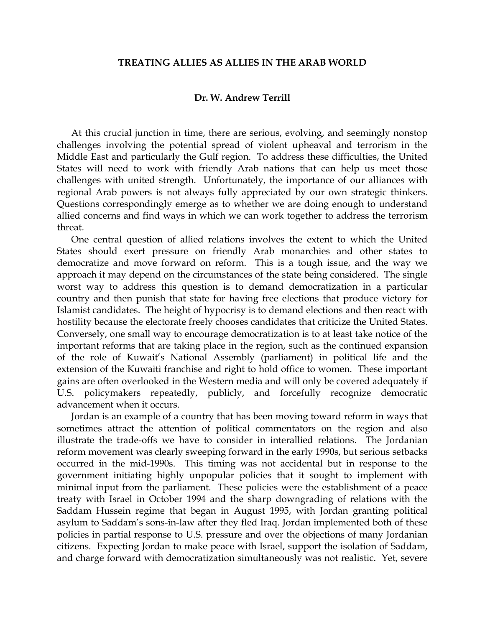## **TREATING ALLIES AS ALLIES IN THE ARAB WORLD**

## **Dr. W. Andrew Terrill**

 At this crucial junction in time, there are serious, evolving, and seemingly nonstop challenges involving the potential spread of violent upheaval and terrorism in the Middle East and particularly the Gulf region. To address these difficulties, the United States will need to work with friendly Arab nations that can help us meet those challenges with united strength. Unfortunately, the importance of our alliances with regional Arab powers is not always fully appreciated by our own strategic thinkers. Questions correspondingly emerge as to whether we are doing enough to understand allied concerns and find ways in which we can work together to address the terrorism threat.

 One central question of allied relations involves the extent to which the United States should exert pressure on friendly Arab monarchies and other states to democratize and move forward on reform. This is a tough issue, and the way we approach it may depend on the circumstances of the state being considered. The single worst way to address this question is to demand democratization in a particular country and then punish that state for having free elections that produce victory for Islamist candidates. The height of hypocrisy is to demand elections and then react with hostility because the electorate freely chooses candidates that criticize the United States. Conversely, one small way to encourage democratization is to at least take notice of the important reforms that are taking place in the region, such as the continued expansion of the role of Kuwait's National Assembly (parliament) in political life and the extension of the Kuwaiti franchise and right to hold office to women. These important gains are often overlooked in the Western media and will only be covered adequately if U.S. policymakers repeatedly, publicly, and forcefully recognize democratic advancement when it occurs.

 Jordan is an example of a country that has been moving toward reform in ways that sometimes attract the attention of political commentators on the region and also illustrate the trade-offs we have to consider in interallied relations. The Jordanian reform movement was clearly sweeping forward in the early 1990s, but serious setbacks occurred in the mid-1990s. This timing was not accidental but in response to the government initiating highly unpopular policies that it sought to implement with minimal input from the parliament. These policies were the establishment of a peace treaty with Israel in October 1994 and the sharp downgrading of relations with the Saddam Hussein regime that began in August 1995, with Jordan granting political asylum to Saddam's sons-in-law after they fled Iraq. Jordan implemented both of these policies in partial response to U.S. pressure and over the objections of many Jordanian citizens. Expecting Jordan to make peace with Israel, support the isolation of Saddam, and charge forward with democratization simultaneously was not realistic. Yet, severe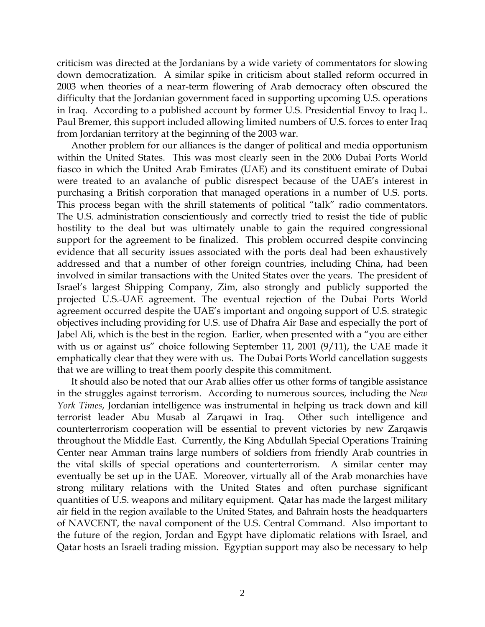criticism was directed at the Jordanians by a wide variety of commentators for slowing down democratization. A similar spike in criticism about stalled reform occurred in 2003 when theories of a near-term flowering of Arab democracy often obscured the difficulty that the Jordanian government faced in supporting upcoming U.S. operations in Iraq. According to a published account by former U.S. Presidential Envoy to Iraq L. Paul Bremer, this support included allowing limited numbers of U.S. forces to enter Iraq from Jordanian territory at the beginning of the 2003 war.

 Another problem for our alliances is the danger of political and media opportunism within the United States. This was most clearly seen in the 2006 Dubai Ports World fiasco in which the United Arab Emirates (UAE) and its constituent emirate of Dubai were treated to an avalanche of public disrespect because of the UAE's interest in purchasing a British corporation that managed operations in a number of U.S. ports. This process began with the shrill statements of political "talk" radio commentators. The U.S. administration conscientiously and correctly tried to resist the tide of public hostility to the deal but was ultimately unable to gain the required congressional support for the agreement to be finalized. This problem occurred despite convincing evidence that all security issues associated with the ports deal had been exhaustively addressed and that a number of other foreign countries, including China, had been involved in similar transactions with the United States over the years. The president of Israel's largest Shipping Company, Zim, also strongly and publicly supported the projected U.S.-UAE agreement. The eventual rejection of the Dubai Ports World agreement occurred despite the UAE's important and ongoing support of U.S. strategic objectives including providing for U.S. use of Dhafra Air Base and especially the port of Jabel Ali, which is the best in the region. Earlier, when presented with a "you are either with us or against us" choice following September 11, 2001 (9/11), the UAE made it emphatically clear that they were with us. The Dubai Ports World cancellation suggests that we are willing to treat them poorly despite this commitment.

 It should also be noted that our Arab allies offer us other forms of tangible assistance in the struggles against terrorism. According to numerous sources, including the *New York Times*, Jordanian intelligence was instrumental in helping us track down and kill terrorist leader Abu Musab al Zarqawi in Iraq. Other such intelligence and counterterrorism cooperation will be essential to prevent victories by new Zarqawis throughout the Middle East. Currently, the King Abdullah Special Operations Training Center near Amman trains large numbers of soldiers from friendly Arab countries in the vital skills of special operations and counterterrorism. A similar center may eventually be set up in the UAE. Moreover, virtually all of the Arab monarchies have strong military relations with the United States and often purchase significant quantities of U.S. weapons and military equipment. Qatar has made the largest military air field in the region available to the United States, and Bahrain hosts the headquarters of NAVCENT, the naval component of the U.S. Central Command. Also important to the future of the region, Jordan and Egypt have diplomatic relations with Israel, and Qatar hosts an Israeli trading mission. Egyptian support may also be necessary to help